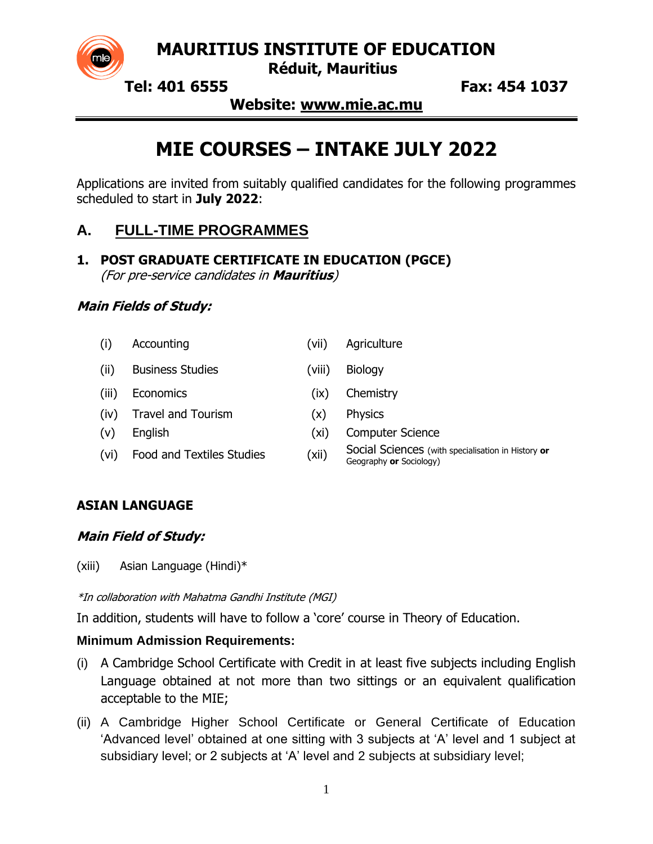

**MAURITIUS INSTITUTE OF EDUCATION**

 **Réduit, Mauritius**

 **Tel: 401 6555 Fax: 454 1037**

**Website: www.mie.ac.mu**

# **MIE COURSES – INTAKE JULY 2022**

Applications are invited from suitably qualified candidates for the following programmes scheduled to start in **July 2022**:

## **A. FULL-TIME PROGRAMMES**

**1. POST GRADUATE CERTIFICATE IN EDUCATION (PGCE)** (For pre-service candidates in **Mauritius**)

### **Main Fields of Study:**

(i) Accounting (vii) Agriculture (ii) Business Studies (viii) Biology (iii) Economics (ix) Chemistry (iv) Travel and Tourism (x) Physics (v) English (xi) Computer Science (vi) Food and Textiles Studies (xii) Social Sciences (with specialisation in History **or** Geography **or** Sociology)

## **ASIAN LANGUAGE**

### **Main Field of Study:**

(xiii) Asian Language (Hindi)\*

\*In collaboration with Mahatma Gandhi Institute (MGI)

In addition, students will have to follow a 'core' course in Theory of Education.

### **Minimum Admission Requirements:**

- (i) A Cambridge School Certificate with Credit in at least five subjects including English Language obtained at not more than two sittings or an equivalent qualification acceptable to the MIE;
- (ii) A Cambridge Higher School Certificate or General Certificate of Education 'Advanced level' obtained at one sitting with 3 subjects at 'A' level and 1 subject at subsidiary level; or 2 subjects at 'A' level and 2 subjects at subsidiary level;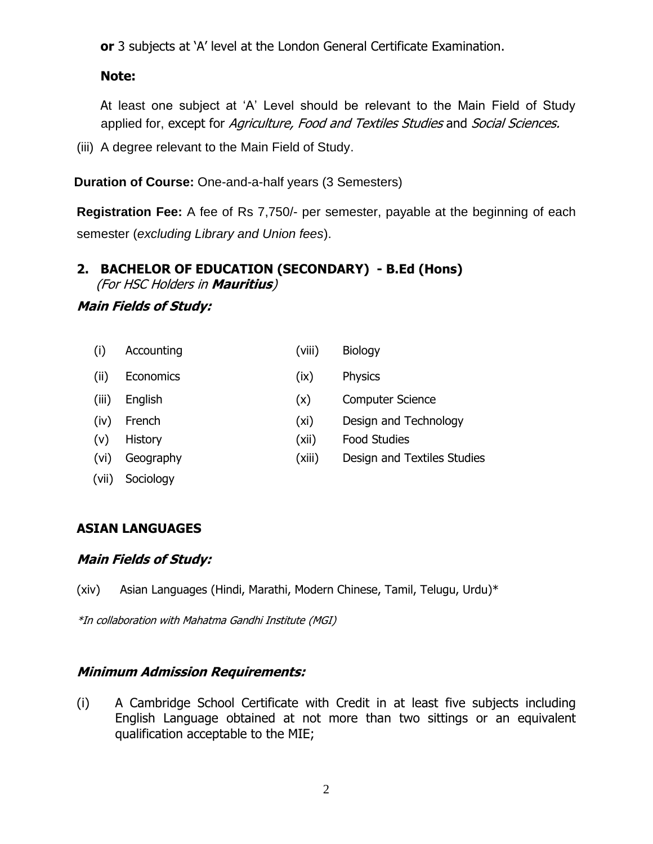**or** 3 subjects at 'A' level at the London General Certificate Examination.

### **Note:**

At least one subject at 'A' Level should be relevant to the Main Field of Study applied for, except for Agriculture, Food and Textiles Studies and Social Sciences.

(iii) A degree relevant to the Main Field of Study.

**Duration of Course:** One-and-a-half years (3 Semesters)

**Registration Fee:** A fee of Rs 7,750/- per semester, payable at the beginning of each semester (*excluding Library and Union fees*).

#### **2. BACHELOR OF EDUCATION (SECONDARY) - B.Ed (Hons)** (For HSC Holders in **Mauritius**)

#### **Main Fields of Study:**

| (i)   | Accounting     | (viii) | <b>Biology</b>              |
|-------|----------------|--------|-----------------------------|
| (iii) | Economics      | (ix)   | <b>Physics</b>              |
| (iii) | English        | (x)    | <b>Computer Science</b>     |
| (iv)  | French         | (xi)   | Design and Technology       |
| (v)   | <b>History</b> | (xii)  | <b>Food Studies</b>         |
| (vi)  | Geography      | (xiii) | Design and Textiles Studies |
| (vii) | Sociology      |        |                             |

#### **ASIAN LANGUAGES**

#### **Main Fields of Study:**

(xiv) Asian Languages (Hindi, Marathi, Modern Chinese, Tamil, Telugu, Urdu)\*

\*In collaboration with Mahatma Gandhi Institute (MGI)

#### **Minimum Admission Requirements:**

(i) A Cambridge School Certificate with Credit in at least five subjects including English Language obtained at not more than two sittings or an equivalent qualification acceptable to the MIE;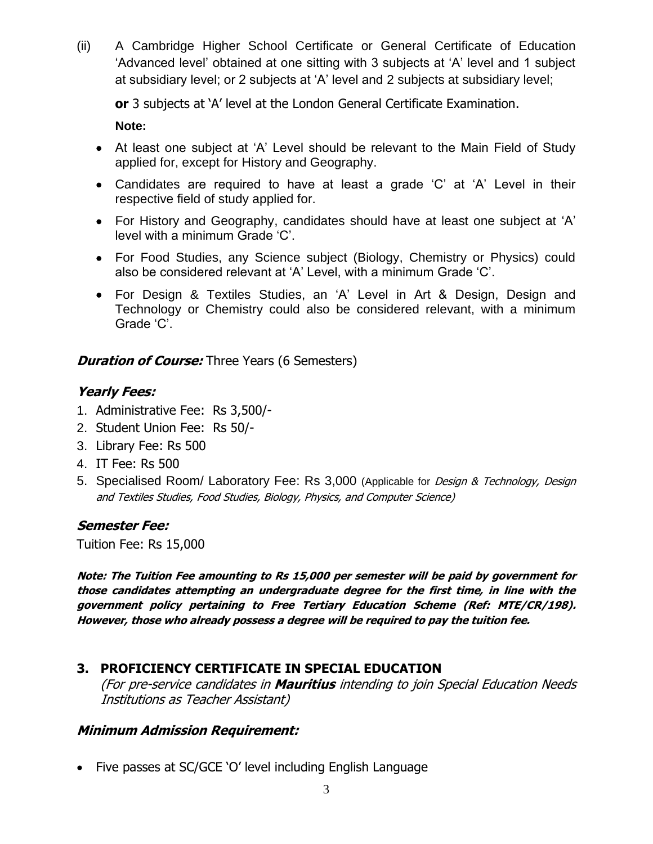(ii) A Cambridge Higher School Certificate or General Certificate of Education 'Advanced level' obtained at one sitting with 3 subjects at 'A' level and 1 subject at subsidiary level; or 2 subjects at 'A' level and 2 subjects at subsidiary level;

**or** 3 subjects at 'A' level at the London General Certificate Examination.

**Note:**

- At least one subject at 'A' Level should be relevant to the Main Field of Study applied for, except for History and Geography.
- Candidates are required to have at least a grade 'C' at 'A' Level in their respective field of study applied for.
- For History and Geography, candidates should have at least one subject at 'A' level with a minimum Grade 'C'.
- For Food Studies, any Science subject (Biology, Chemistry or Physics) could also be considered relevant at 'A' Level, with a minimum Grade 'C'.
- For Design & Textiles Studies, an 'A' Level in Art & Design, Design and Technology or Chemistry could also be considered relevant, with a minimum Grade 'C'.

### **Duration of Course:** Three Years (6 Semesters)

## **Yearly Fees:**

- 1. Administrative Fee: Rs 3,500/-
- 2. Student Union Fee: Rs 50/-
- 3. Library Fee: Rs 500
- 4. IT Fee: Rs 500
- 5. Specialised Room/ Laboratory Fee: Rs 3,000 (Applicable for *Design & Technology, Design* and Textiles Studies, Food Studies, Biology, Physics, and Computer Science)

### **Semester Fee:**

Tuition Fee: Rs 15,000

**Note: The Tuition Fee amounting to Rs 15,000 per semester will be paid by government for those candidates attempting an undergraduate degree for the first time, in line with the government policy pertaining to Free Tertiary Education Scheme (Ref: MTE/CR/198). However, those who already possess a degree will be required to pay the tuition fee.**

## **3. PROFICIENCY CERTIFICATE IN SPECIAL EDUCATION**

(For pre-service candidates in **Mauritius** intending to join Special Education Needs Institutions as Teacher Assistant)

### **Minimum Admission Requirement:**

• Five passes at SC/GCE 'O' level including English Language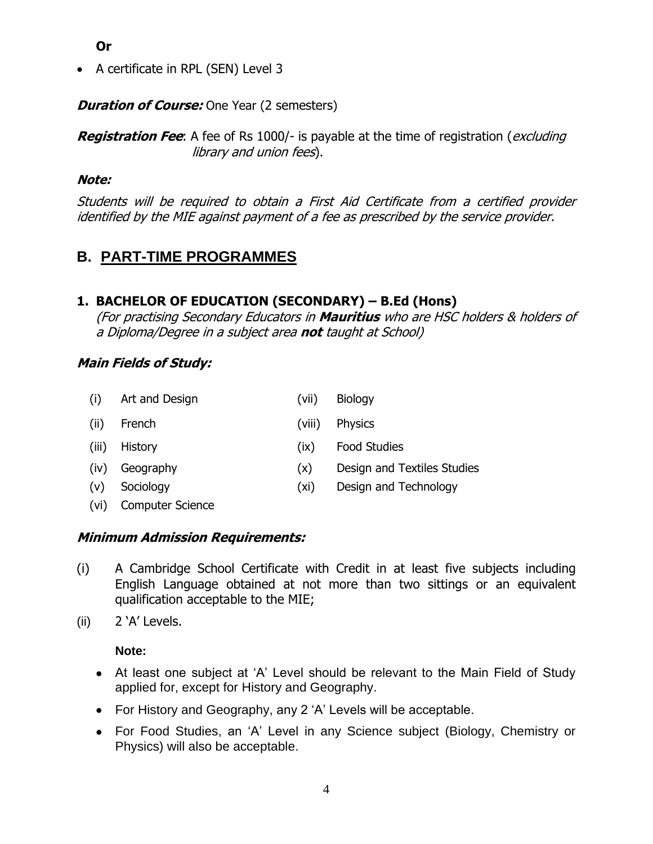**Or** 

• A certificate in RPL (SEN) Level 3

*Duration of Course:* One Year (2 semesters)

**Registration Fee**: A fee of Rs 1000/- is payable at the time of registration (*excluding* library and union fees).

#### **Note:**

Students will be required to obtain a First Aid Certificate from a certified provider identified by the MIE against payment of a fee as prescribed by the service provider.

## **B. PART-TIME PROGRAMMES**

### **1. BACHELOR OF EDUCATION (SECONDARY) – B.Ed (Hons)**

(For practising Secondary Educators in **Mauritius** who are HSC holders & holders of a Diploma/Degree in a subject area **not** taught at School)

#### **Main Fields of Study:**

| (i)   | Art and Design | (vii)  | <b>Biology</b>              |
|-------|----------------|--------|-----------------------------|
| (ii)  | French         | (viii) | <b>Physics</b>              |
| (iii) | History        | (ix)   | <b>Food Studies</b>         |
| (iv)  | Geography      | (x)    | Design and Textiles Studies |
| (v)   | Sociology      | (xi)   | Design and Technology       |

(vi) Computer Science

#### **Minimum Admission Requirements:**

(i) A Cambridge School Certificate with Credit in at least five subjects including English Language obtained at not more than two sittings or an equivalent qualification acceptable to the MIE;

(ii) 2 'A' Levels.

**Note:**

- At least one subject at 'A' Level should be relevant to the Main Field of Study applied for, except for History and Geography.
- For History and Geography, any 2 'A' Levels will be acceptable.
- For Food Studies, an 'A' Level in any Science subject (Biology, Chemistry or Physics) will also be acceptable.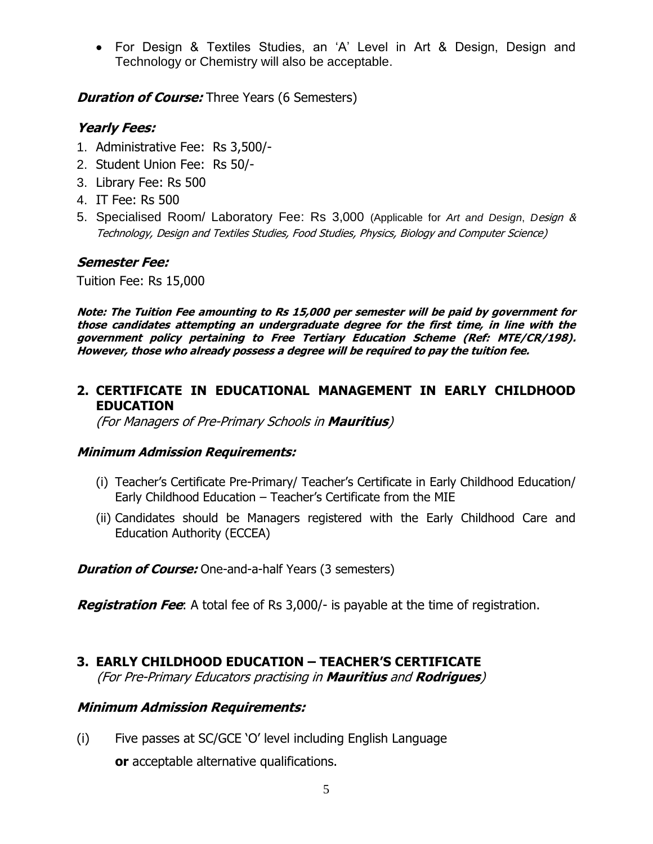• For Design & Textiles Studies, an 'A' Level in Art & Design, Design and Technology or Chemistry will also be acceptable.

*Duration of Course:* Three Years (6 Semesters)

### **Yearly Fees:**

- 1. Administrative Fee: Rs 3,500/-
- 2. Student Union Fee: Rs 50/-
- 3. Library Fee: Rs 500
- 4. IT Fee: Rs 500
- 5. Specialised Room/ Laboratory Fee: Rs 3,000 (Applicable for *Art and Design*, *D*esign & Technology, Design and Textiles Studies, Food Studies, Physics, Biology and Computer Science)

#### **Semester Fee:**

Tuition Fee: Rs 15,000

**Note: The Tuition Fee amounting to Rs 15,000 per semester will be paid by government for those candidates attempting an undergraduate degree for the first time, in line with the government policy pertaining to Free Tertiary Education Scheme (Ref: MTE/CR/198). However, those who already possess a degree will be required to pay the tuition fee.**

#### **2. CERTIFICATE IN EDUCATIONAL MANAGEMENT IN EARLY CHILDHOOD EDUCATION**

(For Managers of Pre-Primary Schools in **Mauritius**)

#### **Minimum Admission Requirements:**

- (i) Teacher's Certificate Pre-Primary/ Teacher's Certificate in Early Childhood Education/ Early Childhood Education – Teacher's Certificate from the MIE
- (ii) Candidates should be Managers registered with the Early Childhood Care and Education Authority (ECCEA)

*Duration of Course:* One-and-a-half Years (3 semesters)

**Registration Fee**: A total fee of Rs 3,000/- is payable at the time of registration.

## **3. EARLY CHILDHOOD EDUCATION – TEACHER'S CERTIFICATE**

(For Pre-Primary Educators practising in **Mauritius** and **Rodrigues**)

#### **Minimum Admission Requirements:**

(i) Five passes at SC/GCE 'O' level including English Language **or** acceptable alternative qualifications.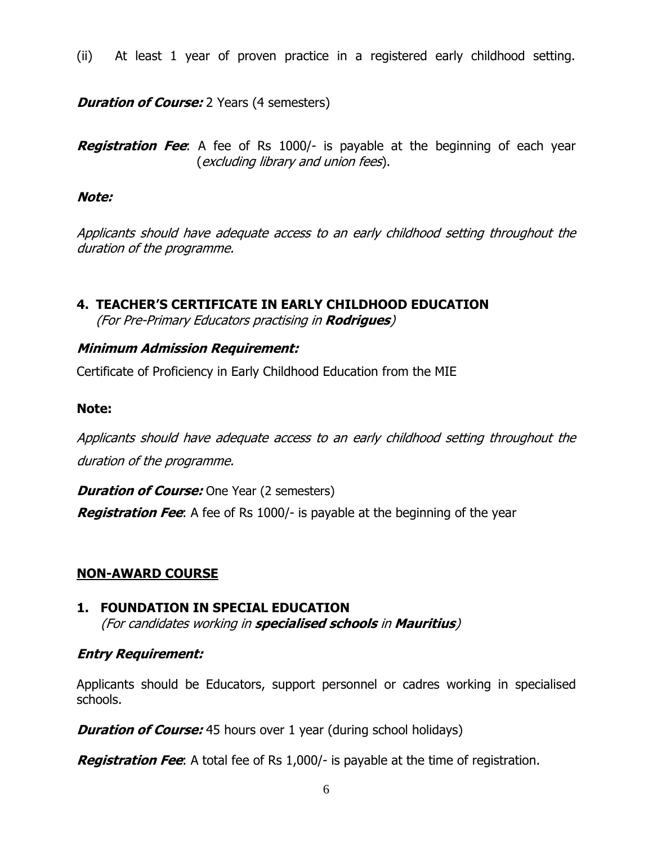(ii) At least 1 year of proven practice in a registered early childhood setting.

#### *Duration of Course:* 2 Years (4 semesters)

**Registration Fee**: A fee of Rs 1000/- is payable at the beginning of each year (excluding library and union fees).

#### **Note:**

Applicants should have adequate access to an early childhood setting throughout the duration of the programme.

#### **4. TEACHER'S CERTIFICATE IN EARLY CHILDHOOD EDUCATION** (For Pre-Primary Educators practising in **Rodrigues**)

#### **Minimum Admission Requirement:**

Certificate of Proficiency in Early Childhood Education from the MIE

#### **Note:**

Applicants should have adequate access to an early childhood setting throughout the duration of the programme.

**Duration of Course:** One Year (2 semesters)

**Registration Fee**: A fee of Rs 1000/- is payable at the beginning of the year

#### **NON-AWARD COURSE**

### **1. FOUNDATION IN SPECIAL EDUCATION**

(For candidates working in **specialised schools** in **Mauritius**)

#### **Entry Requirement:**

Applicants should be Educators, support personnel or cadres working in specialised schools.

**Duration of Course:** 45 hours over 1 year (during school holidays)

**Registration Fee**: A total fee of Rs 1,000/- is payable at the time of registration.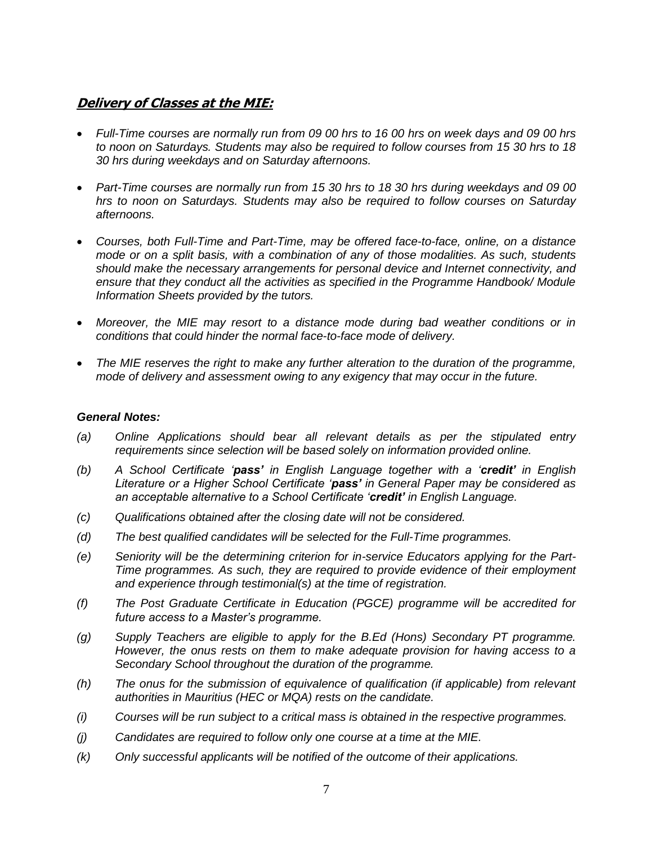#### **Delivery of Classes at the MIE:**

- *Full-Time courses are normally run from 09 00 hrs to 16 00 hrs on week days and 09 00 hrs to noon on Saturdays. Students may also be required to follow courses from 15 30 hrs to 18 30 hrs during weekdays and on Saturday afternoons.*
- *Part-Time courses are normally run from 15 30 hrs to 18 30 hrs during weekdays and 09 00 hrs to noon on Saturdays. Students may also be required to follow courses on Saturday afternoons.*
- *Courses, both Full-Time and Part-Time, may be offered face-to-face, online, on a distance mode or on a split basis, with a combination of any of those modalities. As such, students should make the necessary arrangements for personal device and Internet connectivity, and ensure that they conduct all the activities as specified in the Programme Handbook/ Module Information Sheets provided by the tutors.*
- *Moreover, the MIE may resort to a distance mode during bad weather conditions or in conditions that could hinder the normal face-to-face mode of delivery.*
- *The MIE reserves the right to make any further alteration to the duration of the programme, mode of delivery and assessment owing to any exigency that may occur in the future.*

#### *General Notes:*

- *(a) Online Applications should bear all relevant details as per the stipulated entry requirements since selection will be based solely on information provided online.*
- *(b) A School Certificate 'pass' in English Language together with a 'credit' in English Literature or a Higher School Certificate 'pass' in General Paper may be considered as an acceptable alternative to a School Certificate 'credit' in English Language.*
- *(c) Qualifications obtained after the closing date will not be considered.*
- *(d) The best qualified candidates will be selected for the Full-Time programmes.*
- *(e) Seniority will be the determining criterion for in-service Educators applying for the Part-Time programmes. As such, they are required to provide evidence of their employment and experience through testimonial(s) at the time of registration.*
- *(f) The Post Graduate Certificate in Education (PGCE) programme will be accredited for future access to a Master's programme.*
- *(g) Supply Teachers are eligible to apply for the B.Ed (Hons) Secondary PT programme. However, the onus rests on them to make adequate provision for having access to a Secondary School throughout the duration of the programme.*
- *(h) The onus for the submission of equivalence of qualification (if applicable) from relevant authorities in Mauritius (HEC or MQA) rests on the candidate.*
- *(i) Courses will be run subject to a critical mass is obtained in the respective programmes.*
- *(j) Candidates are required to follow only one course at a time at the MIE.*
- *(k) Only successful applicants will be notified of the outcome of their applications.*